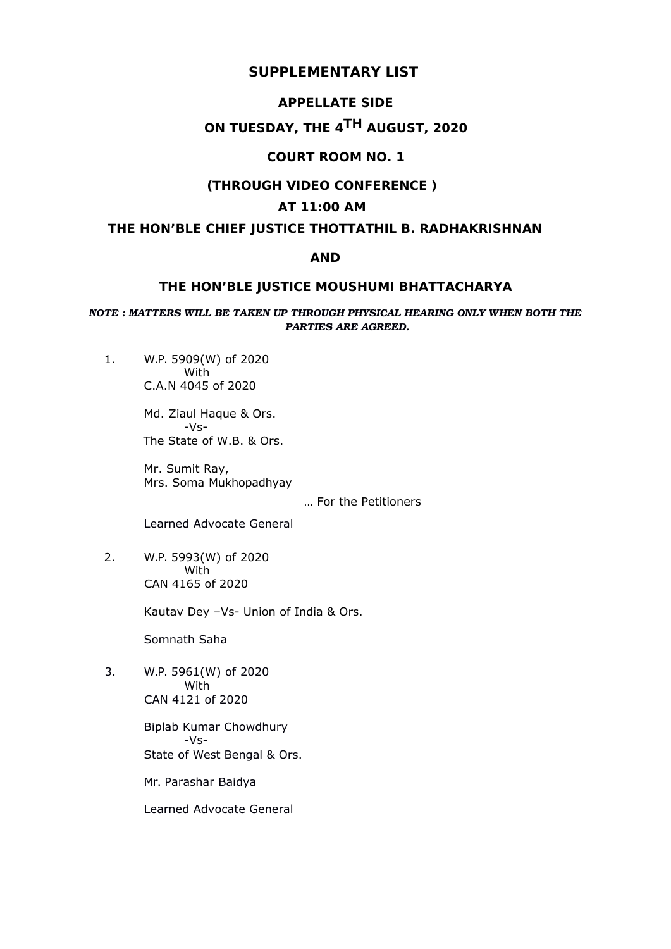### **APPELLATE SIDE**

# **ON TUESDAY, THE 4TH AUGUST, 2020**

# **COURT ROOM NO. 1**

### **(THROUGH VIDEO CONFERENCE )**

### **AT 11:00 AM**

# **THE HON'BLE CHIEF JUSTICE THOTTATHIL B. RADHAKRISHNAN**

### **AND**

### **THE HON'BLE JUSTICE MOUSHUMI BHATTACHARYA**

### *NOTE : MATTERS WILL BE TAKEN UP THROUGH PHYSICAL HEARING ONLY WHEN BOTH THE PARTIES ARE AGREED.*

1. W.P. 5909(W) of 2020 With C.A.N 4045 of 2020

> Md. Ziaul Haque & Ors. -Vs-The State of W.B. & Ors.

Mr. Sumit Ray, Mrs. Soma Mukhopadhyay

… For the Petitioners

Learned Advocate General

2. W.P. 5993(W) of 2020 With CAN 4165 of 2020

Kautav Dey –Vs- Union of India & Ors.

Somnath Saha

3. W.P. 5961(W) of 2020 With CAN 4121 of 2020

> Biplab Kumar Chowdhury -Vs-State of West Bengal & Ors.

Mr. Parashar Baidya

Learned Advocate General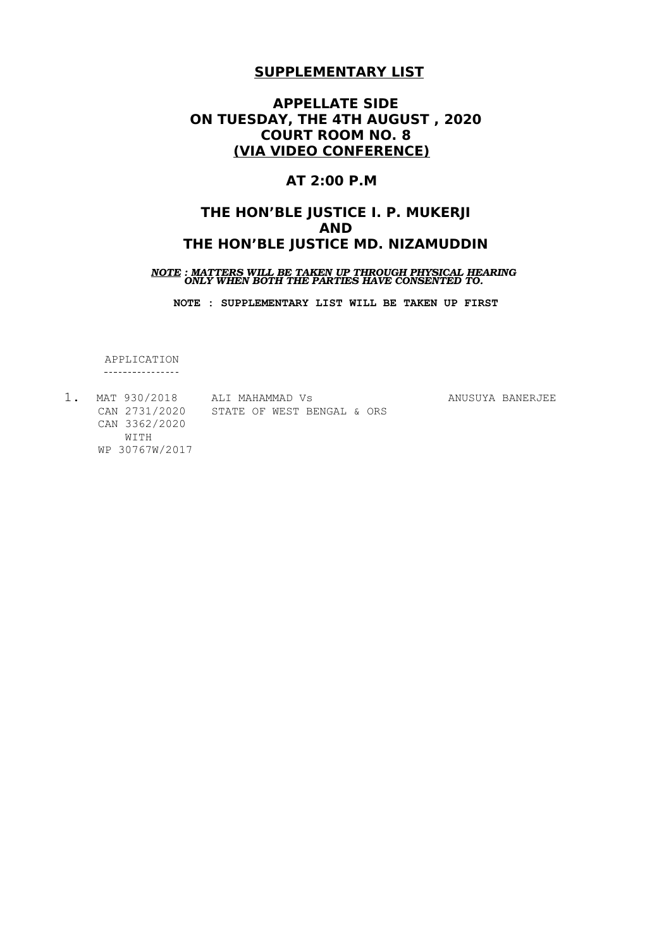# **APPELLATE SIDE ON TUESDAY, THE 4TH AUGUST , 2020 COURT ROOM NO. 8 (VIA VIDEO CONFERENCE)**

# **AT 2:00 P.M**

# **THE HON'BLE JUSTICE I. P. MUKERJI AND THE HON'BLE JUSTICE MD. NIZAMUDDIN**

# *NOTE : MATTERS WILL BE TAKEN UP THROUGH PHYSICAL HEARING ONLY WHEN BOTH THE PARTIES HAVE CONSENTED TO.*

**NOTE : SUPPLEMENTARY LIST WILL BE TAKEN UP FIRST**

APPLICATION ----------------

| MAT 930/2018   | ALI MAHAMMAD VS            | ANUSUYA BANERJEE |
|----------------|----------------------------|------------------|
| CAN 2731/2020  | STATE OF WEST BENGAL & ORS |                  |
| CAN 3362/2020  |                            |                  |
| WITH           |                            |                  |
| WP 30767W/2017 |                            |                  |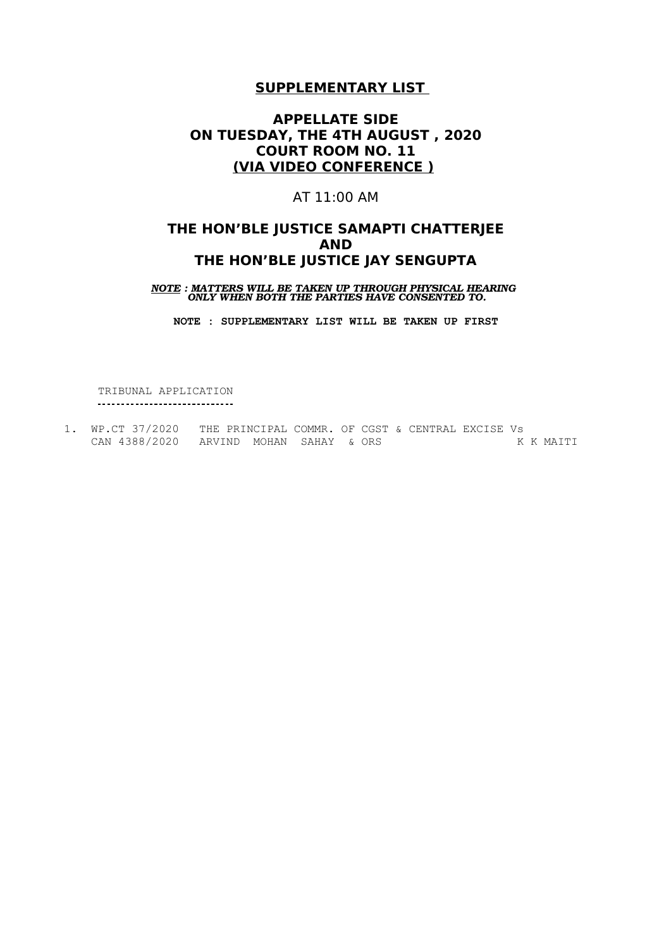# **APPELLATE SIDE ON TUESDAY, THE 4TH AUGUST , 2020 COURT ROOM NO. 11 (VIA VIDEO CONFERENCE )**

## AT 11:00 AM

# **THE HON'BLE JUSTICE SAMAPTI CHATTERJEE AND THE HON'BLE JUSTICE JAY SENGUPTA**

*NOTE : MATTERS WILL BE TAKEN UP THROUGH PHYSICAL HEARING ONLY WHEN BOTH THE PARTIES HAVE CONSENTED TO.*

**NOTE : SUPPLEMENTARY LIST WILL BE TAKEN UP FIRST**

TRIBUNAL APPLICATION \_\_\_\_\_\_\_\_\_\_\_\_\_\_\_\_\_\_\_\_\_\_\_\_\_\_\_\_\_\_\_\_

1. WP.CT 37/2020 THE PRINCIPAL COMMR. OF CGST & CENTRAL EXCISE Vs CAN 4388/2020 ARVIND MOHAN SAHAY & ORS K K MAITI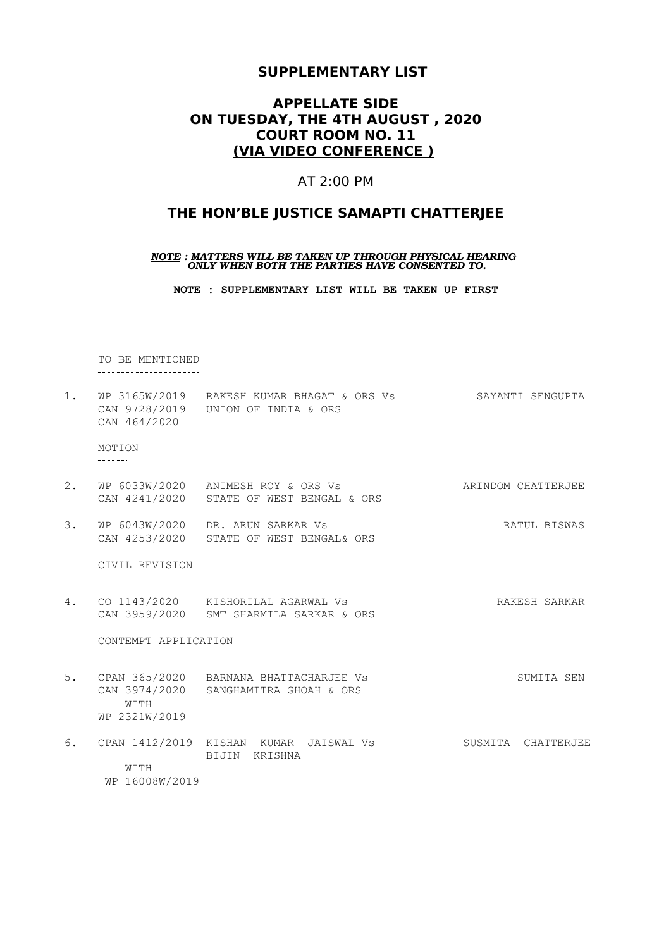# **APPELLATE SIDE ON TUESDAY, THE 4TH AUGUST , 2020 COURT ROOM NO. 11 (VIA VIDEO CONFERENCE )**

### AT 2:00 PM

### **THE HON'BLE JUSTICE SAMAPTI CHATTERJEE**

#### *NOTE : MATTERS WILL BE TAKEN UP THROUGH PHYSICAL HEARING ONLY WHEN BOTH THE PARTIES HAVE CONSENTED TO.*

**NOTE : SUPPLEMENTARY LIST WILL BE TAKEN UP FIRST**

TO BE MENTIONED \_\_\_\_\_\_\_\_\_\_\_\_\_\_\_\_\_\_\_\_\_\_\_

1. WP 3165W/2019 RAKESH KUMAR BHAGAT & ORS Vs SAYANTI SENGUPTA CAN 9728/2019 UNION OF INDIA & ORS CAN 464/2020

MOTION 

- 2. WP 6033W/2020 ANIMESH ROY & ORS Vs ARINDOM CHATTERJEE CAN 4241/2020 STATE OF WEST BENGAL & ORS
- 3. WP 6043W/2020 DR. ARUN SARKAR Vs RATUL BISWAS CAN 4253/2020 STATE OF WEST BENGAL& ORS

CIVIL REVISION

4. CO 1143/2020 KISHORILAL AGARWAL Vs RAKESH SARKAR CAN 3959/2020 SMT SHARMILA SARKAR & ORS

CONTEMPT APPLICATION \_\_\_\_\_\_\_\_\_\_\_\_\_\_\_\_\_\_\_\_\_\_\_\_\_\_\_\_\_\_\_\_\_

- 5. CPAN 365/2020 BARNANA BHATTACHARJEE Vs SUMITA SEN CAN 3974/2020 SANGHAMITRA GHOAH & ORS **WITTH** WP 2321W/2019
- 6. CPAN 1412/2019 KISHAN KUMAR JAISWAL Vs SUSMITA CHATTERJEE BIJIN KRISHNA WITH WP 16008W/2019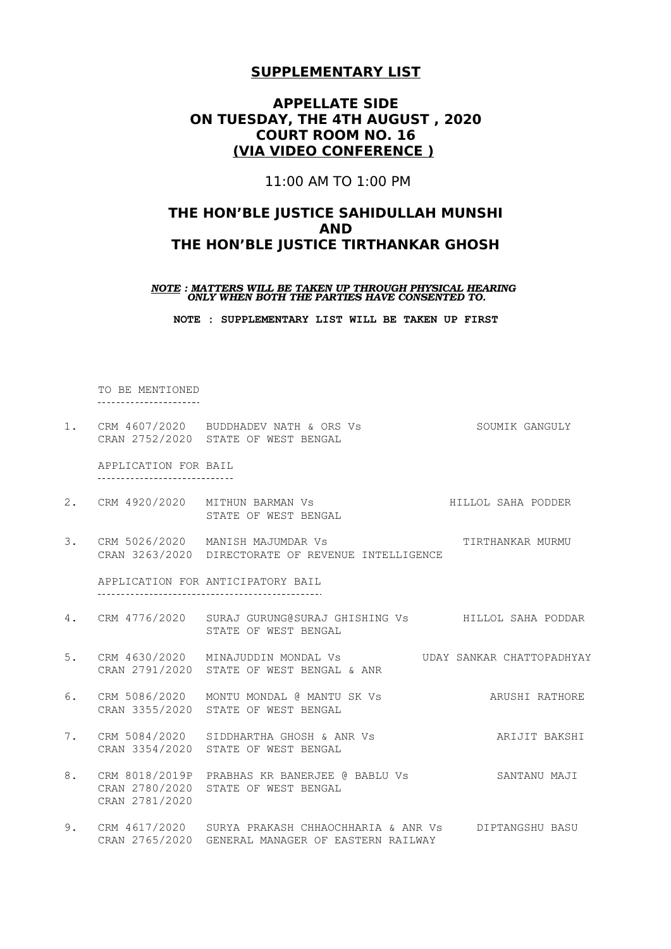# **APPELLATE SIDE ON TUESDAY, THE 4TH AUGUST , 2020 COURT ROOM NO. 16 (VIA VIDEO CONFERENCE )**

11:00 AM TO 1:00 PM

# **THE HON'BLE JUSTICE SAHIDULLAH MUNSHI AND THE HON'BLE JUSTICE TIRTHANKAR GHOSH**

*NOTE : MATTERS WILL BE TAKEN UP THROUGH PHYSICAL HEARING ONLY WHEN BOTH THE PARTIES HAVE CONSENTED TO.*

**NOTE : SUPPLEMENTARY LIST WILL BE TAKEN UP FIRST**

TO BE MENTIONED ----------------------

1. CRM 4607/2020 BUDDHADEV NATH & ORS Vs SOUMIK GANGULY CRAN 2752/2020 STATE OF WEST BENGAL

APPLICATION FOR BAIL ------------------------------

- 2. CRM 4920/2020 MITHUN BARMAN Vs HILLOL SAHA PODDER STATE OF WEST BENGAL
- 3. CRM 5026/2020 MANISH MAJUMDAR Vs TIRTHANKAR MURMU CRAN 3263/2020 DIRECTORATE OF REVENUE INTELLIGENCE

APPLICATION FOR ANTICIPATORY BAIL 

- 4. CRM 4776/2020 SURAJ GURUNG@SURAJ GHISHING Vs HILLOL SAHA PODDAR STATE OF WEST BENGAL
- 5. CRM 4630/2020 MINAJUDDIN MONDAL Vs UDAY SANKAR CHATTOPADHYAY CRAN 2791/2020 STATE OF WEST BENGAL & ANR
- 6. CRM 5086/2020 MONTU MONDAL @ MANTU SK Vs ARUSHI RATHORE CRAN 3355/2020 STATE OF WEST BENGAL
- 7. CRM 5084/2020 SIDDHARTHA GHOSH & ANR Vs ARIJIT BAKSHI CRAN 3354/2020 STATE OF WEST BENGAL
- 8. CRM 8018/2019P PRABHAS KR BANERJEE @ BABLU Vs SANTANU MAJI CRAN 2780/2020 STATE OF WEST BENGAL CRAN 2781/2020
- 9. CRM 4617/2020 SURYA PRAKASH CHHAOCHHARIA & ANR Vs DIPTANGSHU BASU CRAN 2765/2020 GENERAL MANAGER OF EASTERN RAILWAY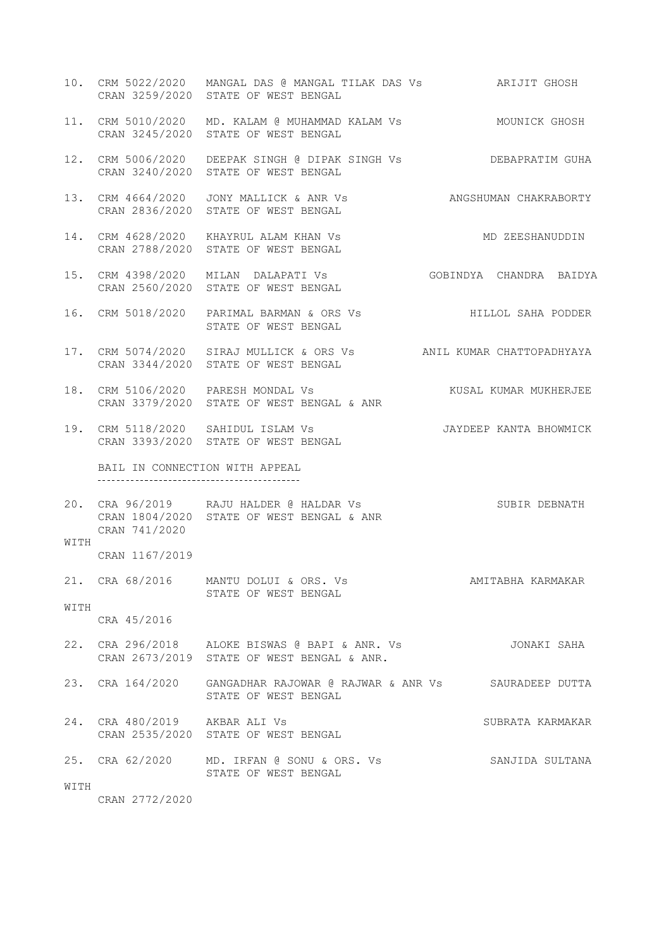- 10. CRM 5022/2020 MANGAL DAS @ MANGAL TILAK DAS Vs ARIJIT GHOSH CRAN 3259/2020 STATE OF WEST BENGAL
- 11. CRM 5010/2020 MD. KALAM @ MUHAMMAD KALAM Vs MOUNICK GHOSH CRAN 3245/2020 STATE OF WEST BENGAL
- 12. CRM 5006/2020 DEEPAK SINGH @ DIPAK SINGH Vs DEBAPRATIM GUHA CRAN 3240/2020 STATE OF WEST BENGAL
- 13. CRM 4664/2020 JONY MALLICK & ANR Vs ANGSHUMAN CHAKRABORTY CRAN 2836/2020 STATE OF WEST BENGAL
- 14. CRM 4628/2020 KHAYRUL ALAM KHAN Vs MD ZEESHANUDDIN CRAN 2788/2020 STATE OF WEST BENGAL
- 15. CRM 4398/2020 MILAN DALAPATI Vs GOBINDYA CHANDRA BAIDYA CRAN 2560/2020 STATE OF WEST BENGAL
- 16. CRM 5018/2020 PARIMAL BARMAN & ORS Vs HILLOL SAHA PODDER STATE OF WEST BENGAL
- 17. CRM 5074/2020 SIRAJ MULLICK & ORS Vs ANIL KUMAR CHATTOPADHYAYA CRAN 3344/2020 STATE OF WEST BENGAL
- 18. CRM 5106/2020 PARESH MONDAL Vs KUSAL KUMAR MUKHERJEE CRAN 3379/2020 STATE OF WEST BENGAL & ANR
- 19. CRM 5118/2020 SAHIDUL ISLAM Vs JAYDEEP KANTA BHOWMICK CRAN 3393/2020 STATE OF WEST BENGAL

BAIL IN CONNECTION WITH APPEAL 

20. CRA 96/2019 RAJU HALDER @ HALDAR Vs SUBIR DEBNATH CRAN 1804/2020 STATE OF WEST BENGAL & ANR CRAN 741/2020

CRAN 1167/2019

| 21. CRA 68/2016 |                      | MANTU DOLUI & ORS. Vs |  | AMITABHA KARMAKAR |
|-----------------|----------------------|-----------------------|--|-------------------|
|                 | STATE OF WEST BENGAL |                       |  |                   |

WITH CRA 45/2016

WITH

- 22. CRA 296/2018 ALOKE BISWAS @ BAPI & ANR. Vs JONAKI SAHA CRAN 2673/2019 STATE OF WEST BENGAL & ANR.
- 23. CRA 164/2020 GANGADHAR RAJOWAR @ RAJWAR & ANR Vs SAURADEEP DUTTA STATE OF WEST BENGAL

24. CRA 480/2019 AKBAR ALI Vs SUBRATA KARMAKAR CRAN 2535/2020 STATE OF WEST BENGAL

25. CRA 62/2020 MD. IRFAN @ SONU & ORS. Vs SANJIDA SULTANA STATE OF WEST BENGAL

WITH

CRAN 2772/2020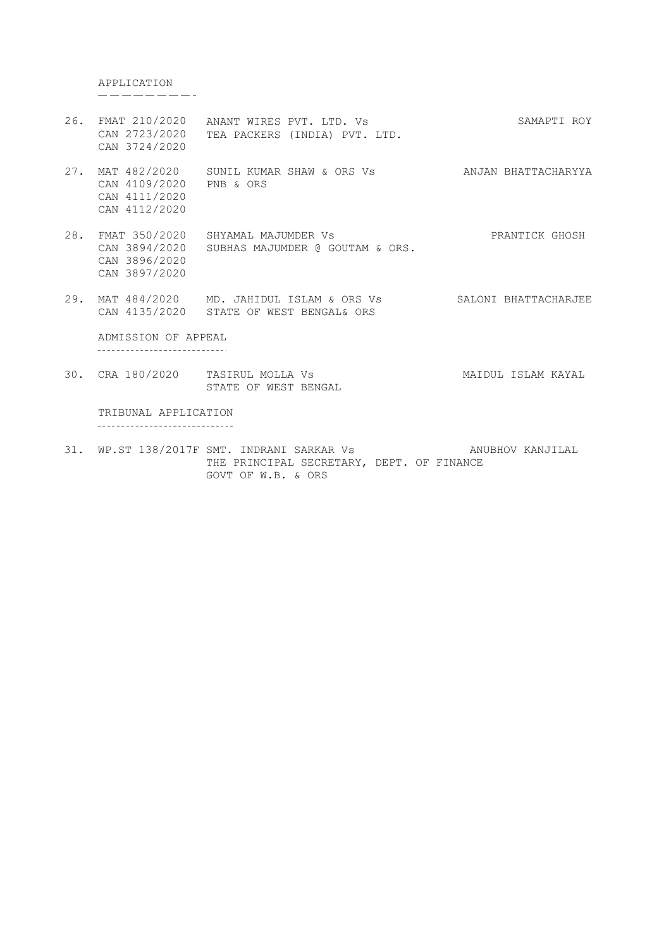APPLICATION<br>---------

- 26. FMAT 210/2020 ANANT WIRES PVT. LTD. Vs CAN 2723/2020 TEA PACKERS (INDIA) PVT. LTD. CAN 3724/2020 SAMAPTI ROY
- 27. MAT 482/2020 CAN 4109/2020 CAN 4111/2020 CAN 4112/2020 SUNIL KUMAR SHAW & ORS Vs PNB & ORS ANJAN BHATTACHARYYA
- 28. FMAT 350/2020 SHYAMAL MAJUMDER Vs CAN 3894/2020 SUBHAS MAJUMDER @ GOUTAM & ORS. CAN 3896/2020 CAN 3897/2020 PRANTICK GHOSH
- 29. MAT 484/2020 MD. JAHIDUL ISLAM & ORS Vs SALONI BHATTACHARJEE CAN 4135/2020 STATE OF WEST BENGAL& ORS

ADMISSION OF APPEAL -----------------------------

30. CRA 180/2020 TASIRUL MOLLA Vs MAIDUL ISLAM KAYAL STATE OF WEST BENGAL

TRIBUNAL APPLICATION -------------------------------

31. WP.ST 138/2017F SMT. INDRANI SARKAR Vs ANUBHOV KANJILAL THE PRINCIPAL SECRETARY, DEPT. OF FINANCE GOVT OF W.B. & ORS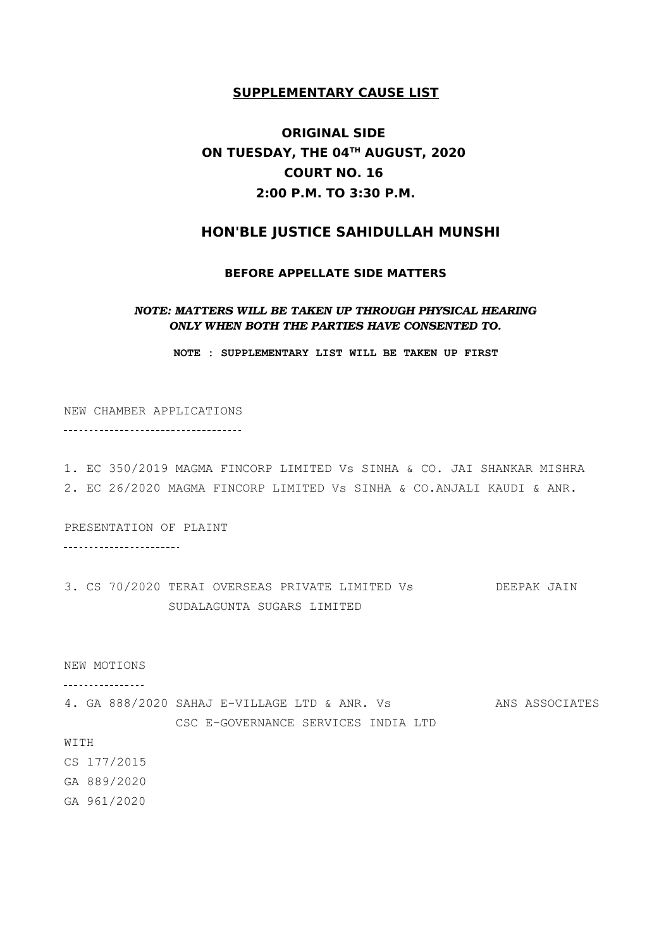# **ORIGINAL SIDE ON TUESDAY, THE 04TH AUGUST, 2020 COURT NO. 16 2:00 P.M. TO 3:30 P.M.**

# **HON'BLE JUSTICE SAHIDULLAH MUNSHI**

#### **BEFORE APPELLATE SIDE MATTERS**

### *NOTE: MATTERS WILL BE TAKEN UP THROUGH PHYSICAL HEARING ONLY WHEN BOTH THE PARTIES HAVE CONSENTED TO.*

**NOTE : SUPPLEMENTARY LIST WILL BE TAKEN UP FIRST**

NEW CHAMBER APPLICATIONS -----------------------------------

1. EC 350/2019 MAGMA FINCORP LIMITED Vs SINHA & CO. JAI SHANKAR MISHRA 2. EC 26/2020 MAGMA FINCORP LIMITED Vs SINHA & CO.ANJALI KAUDI & ANR.

PRESENTATION OF PLAINT

\_\_\_\_\_\_\_\_\_\_\_\_\_\_\_\_\_\_\_\_\_\_\_\_

3. CS 70/2020 TERAI OVERSEAS PRIVATE LIMITED Vs DEEPAK JAIN SUDALAGUNTA SUGARS LIMITED

#### NEW MOTIONS

----------------

4. GA 888/2020 SAHAJ E-VILLAGE LTD & ANR. Vs ANS ASSOCIATES CSC E-GOVERNANCE SERVICES INDIA LTD

#### WITH

CS 177/2015 GA 889/2020

GA 961/2020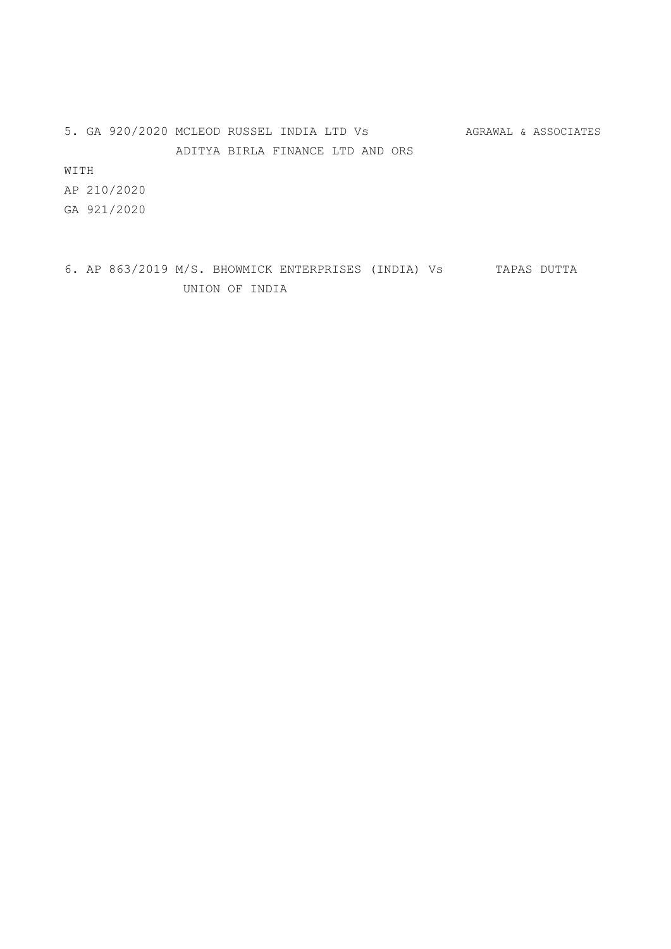5. GA 920/2020 MCLEOD RUSSEL INDIA LTD Vs AGRAWAL & ASSOCIATES ADITYA BIRLA FINANCE LTD AND ORS

WITH

AP 210/2020 GA 921/2020

6. AP 863/2019 M/S. BHOWMICK ENTERPRISES (INDIA) Vs TAPAS DUTTA UNION OF INDIA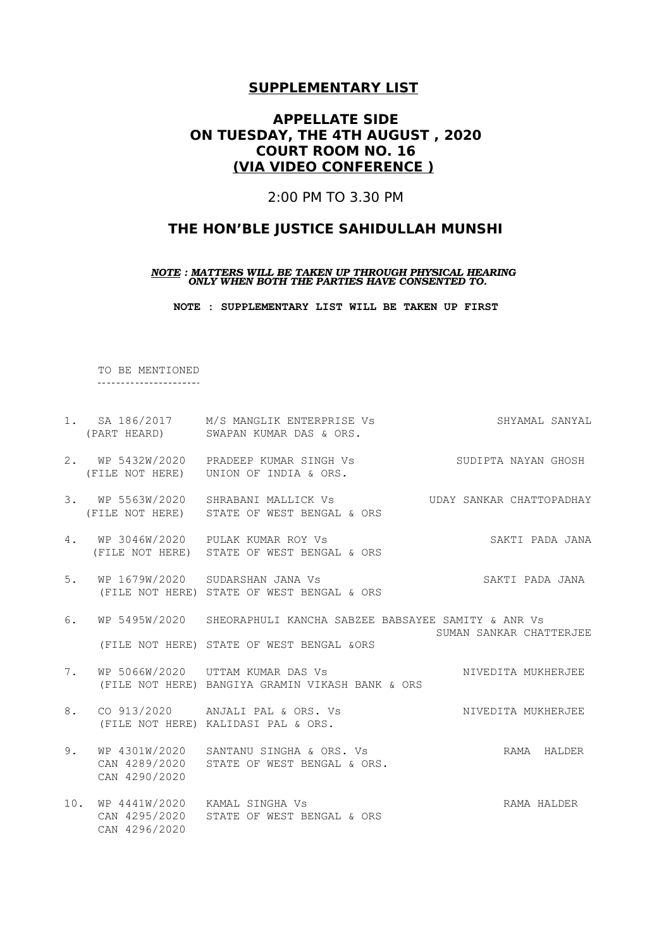# **APPELLATE SIDE ON TUESDAY, THE 4TH AUGUST , 2020 COURT ROOM NO. 16 (VIA VIDEO CONFERENCE )**

2:00 PM TO 3.30 PM

# **THE HON'BLE JUSTICE SAHIDULLAH MUNSHI**

*NOTE : MATTERS WILL BE TAKEN UP THROUGH PHYSICAL HEARING ONLY WHEN BOTH THE PARTIES HAVE CONSENTED TO.*

**NOTE : SUPPLEMENTARY LIST WILL BE TAKEN UP FIRST**

TO BE MENTIONED -----------------------

|    |                                                    | 1. SA 186/2017 M/S MANGLIK ENTERPRISE Vs<br>(PART HEARD) SWAPAN KUMAR DAS & ORS.                             | SHYAMAL SANYAL          |
|----|----------------------------------------------------|--------------------------------------------------------------------------------------------------------------|-------------------------|
|    |                                                    | 2. WP 5432W/2020 PRADEEP KUMAR SINGH Vs<br>(FILE NOT HERE) UNION OF INDIA & ORS.                             | SUDIPTA NAYAN GHOSH     |
|    |                                                    | 3. WP 5563W/2020 SHRABANI MALLICK Vs  UDAY SANKAR CHATTOPADHAY<br>(FILE NOT HERE) STATE OF WEST BENGAL & ORS |                         |
|    |                                                    | 4. WP 3046W/2020 PULAK KUMAR ROY Vs<br>(FILE NOT HERE) STATE OF WEST BENGAL & ORS                            | SAKTI PADA JANA         |
| 5. |                                                    | WP 1679W/2020 SUDARSHAN JANA Vs<br>(FILE NOT HERE) STATE OF WEST BENGAL & ORS                                | SAKTI PADA JANA         |
| 6. |                                                    | WP 5495W/2020 SHEORAPHULI KANCHA SABZEE BABSAYEE SAMITY & ANR Vs                                             | SUMAN SANKAR CHATTERJEE |
|    |                                                    | (FILE NOT HERE) STATE OF WEST BENGAL & ORS                                                                   |                         |
| 7. |                                                    | WP 5066W/2020 UTTAM KUMAR DAS Vs<br>(FILE NOT HERE) BANGIYA GRAMIN VIKASH BANK & ORS                         | NIVEDITA MUKHERJEE      |
| 8. |                                                    | CO 913/2020 ANJALI PAL & ORS. Vs<br>(FILE NOT HERE) KALIDASI PAL & ORS.                                      | NIVEDITA MUKHERJEE      |
| 9. | CAN 4290/2020                                      | WP 4301W/2020 SANTANU SINGHA & ORS. Vs<br>CAN 4289/2020 STATE OF WEST BENGAL & ORS.                          | RAMA HALDER             |
|    | 10. WP 4441W/2020 KAMAL SINGHA Vs<br>CAN 4296/2020 | CAN 4295/2020 STATE OF WEST BENGAL & ORS                                                                     | RAMA HALDER             |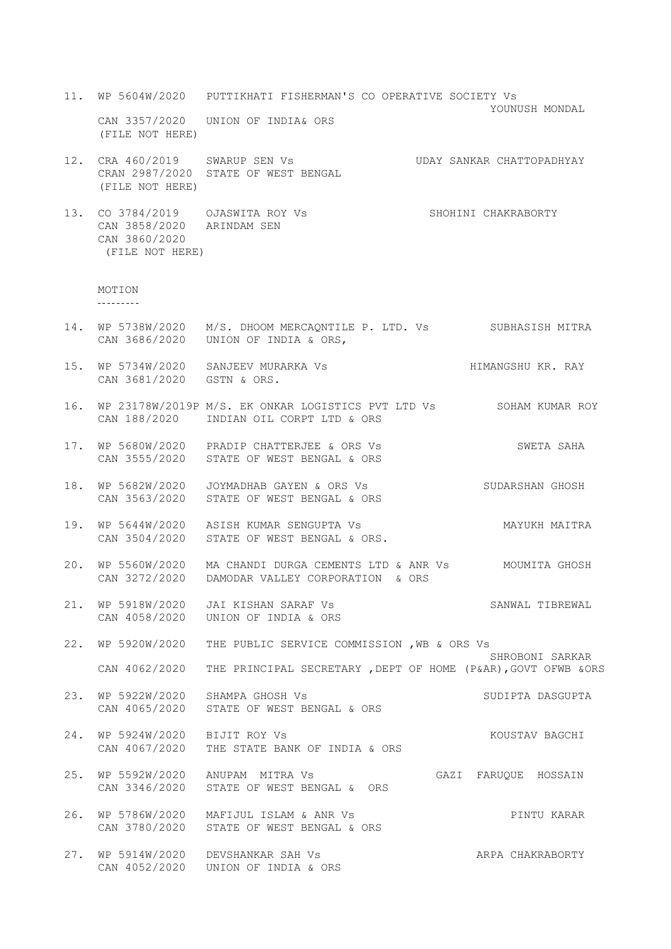- 11. WP 5604W/2020 PUTTIKHATI FISHERMAN'S CO OPERATIVE SOCIETY Vs YOUNUSH MONDAL CAN 3357/2020 UNION OF INDIA& ORS (FILE NOT HERE)
- 12. CRA 460/2019 SWARUP SEN Vs UDAY SANKAR CHATTOPADHYAY CRAN 2987/2020 STATE OF WEST BENGAL (FILE NOT HERE)
- 13. CO 3784/2019 OJASWITA ROY Vs SHOHINI CHAKRABORTY CAN 3858/2020 ARINDAM SEN CAN 3860/2020 (FILE NOT HERE)

```
MOTION
```
 $- - - - - - - - -$ 

- 14. WP 5738W/2020 M/S. DHOOM MERCAQNTILE P. LTD. Vs SUBHASISH MITRA CAN 3686/2020 UNION OF INDIA & ORS,
- 15. WP 5734W/2020 SANJEEV MURARKA Vs HIMANGSHU KR. RAY CAN 3681/2020 GSTN & ORS.
- 16. WP 23178W/2019P M/S. EK ONKAR LOGISTICS PVT LTD Vs SOHAM KUMAR ROY CAN 188/2020 INDIAN OIL CORPT LTD & ORS
- 17. WP 5680W/2020 PRADIP CHATTERJEE & ORS Vs SWETA SAHA CAN 3555/2020 STATE OF WEST BENGAL & ORS
- 18. WP 5682W/2020 JOYMADHAB GAYEN & ORS Vs SUDARSHAN GHOSH CAN 3563/2020 STATE OF WEST BENGAL & ORS
- 19. WP 5644W/2020 ASISH KUMAR SENGUPTA Vs MAYUKH MAITRA CAN 3504/2020 STATE OF WEST BENGAL & ORS.
- 20. WP 5560W/2020 MA CHANDI DURGA CEMENTS LTD & ANR Vs MOUMITA GHOSH CAN 3272/2020 DAMODAR VALLEY CORPORATION & ORS
- 21. WP 5918W/2020 JAI KISHAN SARAF Vs SANWAL TIBREWAL CAN 4058/2020 UNION OF INDIA & ORS

22. WP 5920W/2020 THE PUBLIC SERVICE COMMISSION ,WB & ORS Vs SHROBONI SARKAR CAN 4062/2020 THE PRINCIPAL SECRETARY ,DEPT OF HOME (P&AR),GOVT OFWB &ORS

- 23. WP 5922W/2020 SHAMPA GHOSH Vs SUDIPTA DASGUPTA CAN 4065/2020 STATE OF WEST BENGAL & ORS
- 24. WP 5924W/2020 BIJIT ROY Vs KOUSTAV BAGCHI CAN 4067/2020 THE STATE BANK OF INDIA & ORS
- 25. WP 5592W/2020 ANUPAM MITRA Vs GAZI FARUQUE HOSSAIN CAN 3346/2020 STATE OF WEST BENGAL & ORS
- 26. WP 5786W/2020 MAFIJUL ISLAM & ANR Vs PINTU KARAR CAN 3780/2020 STATE OF WEST BENGAL & ORS
- 27. WP 5914W/2020 DEVSHANKAR SAH Vs AND ARPA CHAKRABORTY CAN 4052/2020 UNION OF INDIA & ORS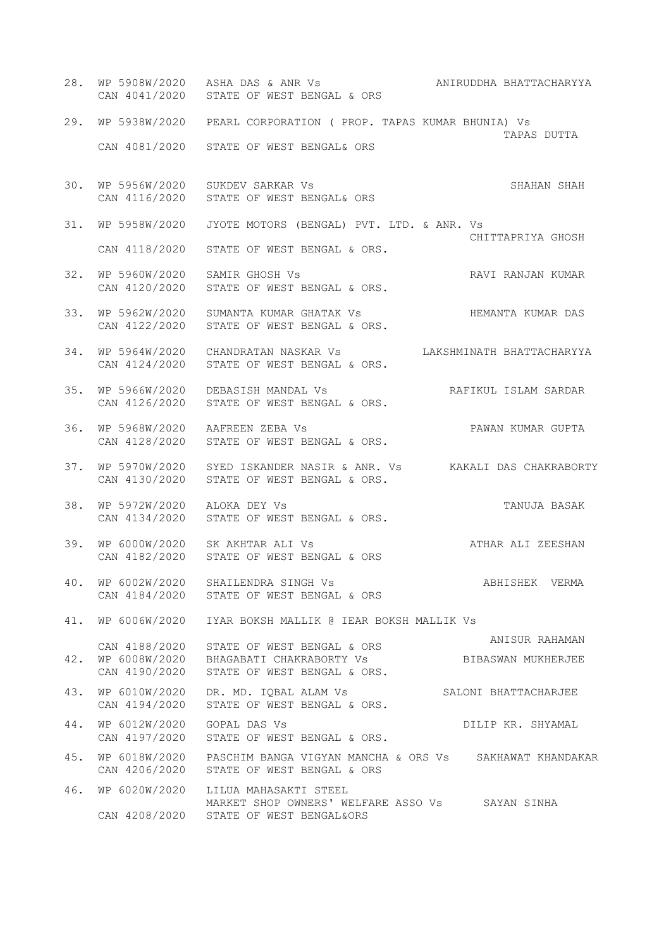28. WP 5908W/2020 ASHA DAS & ANR Vs ANIRUDDHA BHATTACHARYYA CAN 4041/2020 STATE OF WEST BENGAL & ORS 29. WP 5938W/2020 PEARL CORPORATION ( PROP. TAPAS KUMAR BHUNIA) Vs TAPAS DUTTA CAN 4081/2020 STATE OF WEST BENGAL& ORS 30. WP 5956W/2020 SUKDEV SARKAR Vs SHAHAN SHAHAN SHAH CAN 4116/2020 STATE OF WEST BENGAL& ORS 31. WP 5958W/2020 JYOTE MOTORS (BENGAL) PVT. LTD. & ANR. Vs CHITTAPRIYA GHOSH CAN 4118/2020 STATE OF WEST BENGAL & ORS. 32. WP 5960W/2020 SAMIR GHOSH Vs RAVI RANJAN KUMAR CAN 4120/2020 STATE OF WEST BENGAL & ORS. 33. WP 5962W/2020 SUMANTA KUMAR GHATAK Vs BEMANTA KUMAR DAS CAN 4122/2020 STATE OF WEST BENGAL & ORS. 34. WP 5964W/2020 CHANDRATAN NASKAR Vs LAKSHMINATH BHATTACHARYYA CAN 4124/2020 STATE OF WEST BENGAL & ORS. 35. WP 5966W/2020 DEBASISH MANDAL Vs RAFIKUL ISLAM SARDAR CAN 4126/2020 STATE OF WEST BENGAL & ORS. 36. WP 5968W/2020 AAFREEN ZEBA Vs PAWAN KUMAR GUPTA CAN 4128/2020 STATE OF WEST BENGAL & ORS. 37. WP 5970W/2020 SYED ISKANDER NASIR & ANR. Vs KAKALI DAS CHAKRABORTY CAN 4130/2020 STATE OF WEST BENGAL & ORS. 38. WP 5972W/2020 ALOKA DEY Vs TANUJA BASAK CAN 4134/2020 STATE OF WEST BENGAL & ORS. 39. WP 6000W/2020 SK AKHTAR ALI Vs ATHAR ALI ZEESHAN CAN 4182/2020 STATE OF WEST BENGAL & ORS 40. WP 6002W/2020 SHAILENDRA SINGH Vs ABHISHEK VERMA CAN 4184/2020 STATE OF WEST BENGAL & ORS 41. WP 6006W/2020 IYAR BOKSH MALLIK @ IEAR BOKSH MALLIK Vs CAN 4188/2020 STATE OF WEST BENGAL & ORS ANISUR RAHAMAN 42. WP 6008W/2020 BHAGABATI CHAKRABORTY Vs BIBASWAN MUKHERJEE CAN 4190/2020 STATE OF WEST BENGAL & ORS. 43. WP 6010W/2020 DR. MD. IQBAL ALAM Vs SALONI BHATTACHARJEE CAN 4194/2020 STATE OF WEST BENGAL & ORS. 44. WP 6012W/2020 GOPAL DAS Vs **DILIP KR. SHYAMAL** CAN 4197/2020 STATE OF WEST BENGAL & ORS. 45. WP 6018W/2020 PASCHIM BANGA VIGYAN MANCHA & ORS Vs SAKHAWAT KHANDAKAR CAN 4206/2020 STATE OF WEST BENGAL & ORS 46. WP 6020W/2020 LILUA MAHASAKTI STEEL MARKET SHOP OWNERS' WELFARE ASSO Vs SAYAN SINHA CAN 4208/2020 STATE OF WEST BENGAL&ORS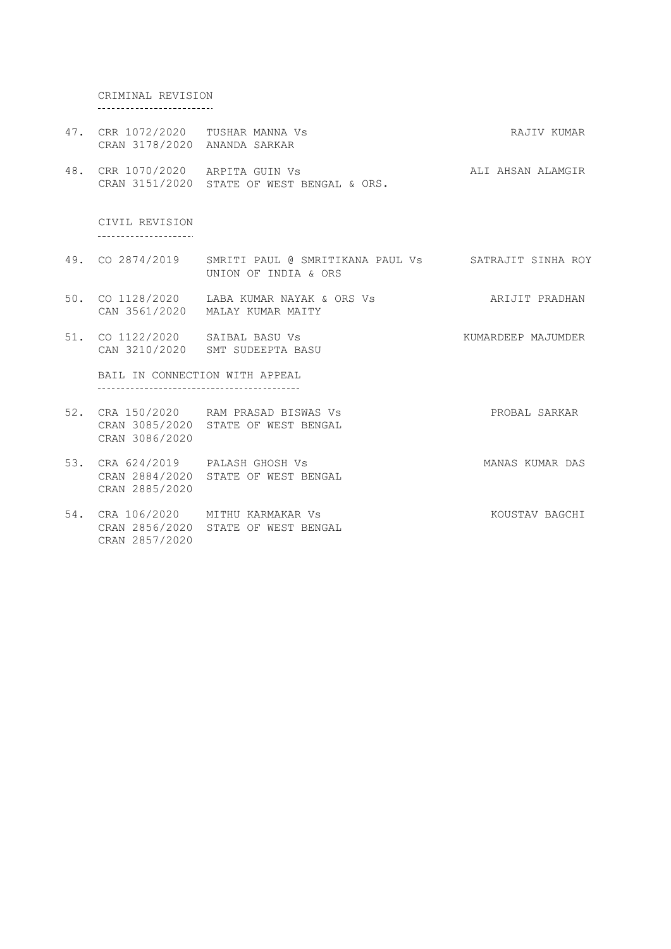CRIMINAL REVISION -------------------------

- 47. CRR 1072/2020 CRAN 3178/2020 TUSHAR MANNA Vs ANANDA SARKAR RAJIV KUMAR
- 48. CRR 1070/2020 CRAN 3151/2020 ARPITA GUIN Vs STATE OF WEST BENGAL & ORS. ALI AHSAN ALAMGIR

CIVIL REVISION --------------------

- 49. CO 2874/2019 SMRITI PAUL @ SMRITIKANA PAUL Vs SATRAJIT SINHA ROY UNION OF INDIA & ORS
- 50. CO 1128/2020 LABA KUMAR NAYAK & ORS CAN 3561/2020 MALAY KUMAR MAITY ARIJIT PRADHAN
- 51. CO 1122/2020 SAIBAL BASU Vs CAN 3210/2020 SMT SUDEEPTA BASU KUMARDEEP MAJUMDER

BAIL IN CONNECTION WITH APPEAL

- 52. CRA 150/2020 RAM PRASAD BISWAS Vs CRAN 3085/2020 STATE OF WEST BENGAL PROBAL SARKAR CRAN 3086/2020
- 53. CRA 624/2019 PALASH GHOSH Vs CRAN 2884/2020 STATE OF WEST BENGAL CRAN 2885/2020 MANAS KUMAR DAS
- 54. CRA 106/2020 MITHU KARMAKAR Vs CRAN 2856/2020 STATE OF WEST BENGAL CRAN 2857/2020 KOUSTAV BAGCHI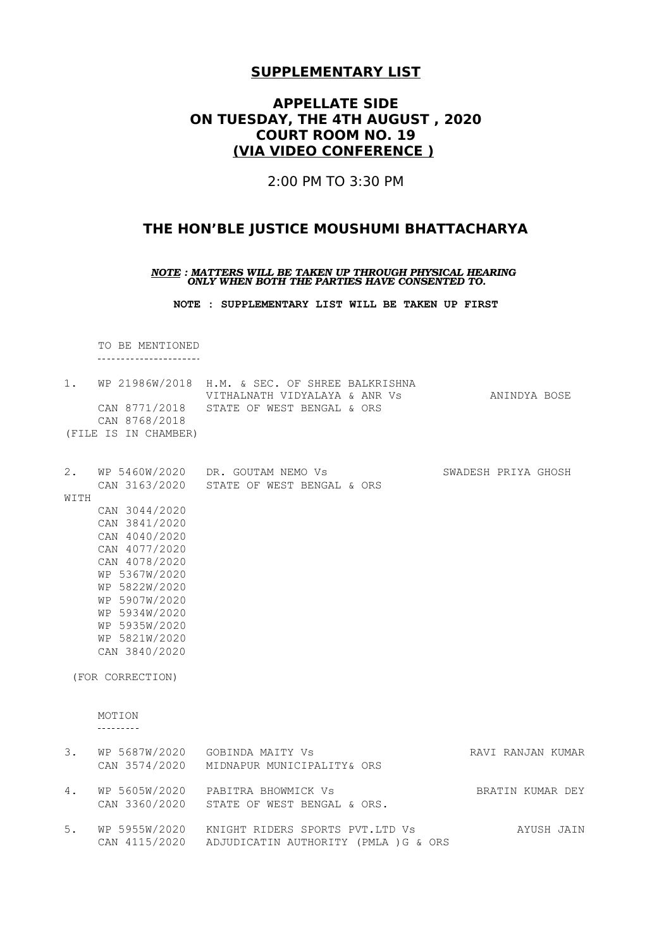# **APPELLATE SIDE ON TUESDAY, THE 4TH AUGUST , 2020 COURT ROOM NO. 19 (VIA VIDEO CONFERENCE )**

2:00 PM TO 3:30 PM

# **THE HON'BLE JUSTICE MOUSHUMI BHATTACHARYA**

*NOTE : MATTERS WILL BE TAKEN UP THROUGH PHYSICAL HEARING ONLY WHEN BOTH THE PARTIES HAVE CONSENTED TO.*

**NOTE : SUPPLEMENTARY LIST WILL BE TAKEN UP FIRST**

TO BE MENTIONED ----------------------

|      | CAN 8768/2018<br>(FILE IS IN CHAMBER)                                                                                                                                                                                        | 1. WP 21986W/2018 H.M. & SEC. OF SHREE BALKRISHNA<br>VITHALNATH VIDYALAYA & ANR VS<br>CAN 8771/2018 STATE OF WEST BENGAL & ORS | ANINDYA BOSE        |
|------|------------------------------------------------------------------------------------------------------------------------------------------------------------------------------------------------------------------------------|--------------------------------------------------------------------------------------------------------------------------------|---------------------|
| WITH | CAN 3044/2020<br>CAN 3841/2020<br>CAN 4040/2020<br>CAN 4077/2020<br>CAN 4078/2020<br>WP 5367W/2020<br>WP 5822W/2020<br>WP 5907W/2020<br>WP 5934W/2020<br>WP 5935W/2020<br>WP 5821W/2020<br>CAN 3840/2020<br>(FOR CORRECTION) | 2. WP 5460W/2020 DR. GOUTAM NEMO Vs<br>CAN 3163/2020 STATE OF WEST BENGAL & ORS                                                | SWADESH PRIYA GHOSH |
|      | MOTION<br>---------                                                                                                                                                                                                          |                                                                                                                                |                     |
| 3.   |                                                                                                                                                                                                                              | WP 5687W/2020 GOBINDA MAITY Vs<br>CAN 3574/2020 MIDNAPUR MUNICIPALITY& ORS                                                     | RAVI RANJAN KUMAR   |
| 4.   |                                                                                                                                                                                                                              | WP 5605W/2020 PABITRA BHOWMICK Vs<br>CAN 3360/2020 STATE OF WEST BENGAL & ORS.                                                 | BRATIN KUMAR DEY    |
| 5.   | CAN 4115/2020                                                                                                                                                                                                                | WP 5955W/2020 KNIGHT RIDERS SPORTS PVT.LTD Vs<br>ADJUDICATIN AUTHORITY (PMLA ) G & ORS                                         | AYUSH JAIN          |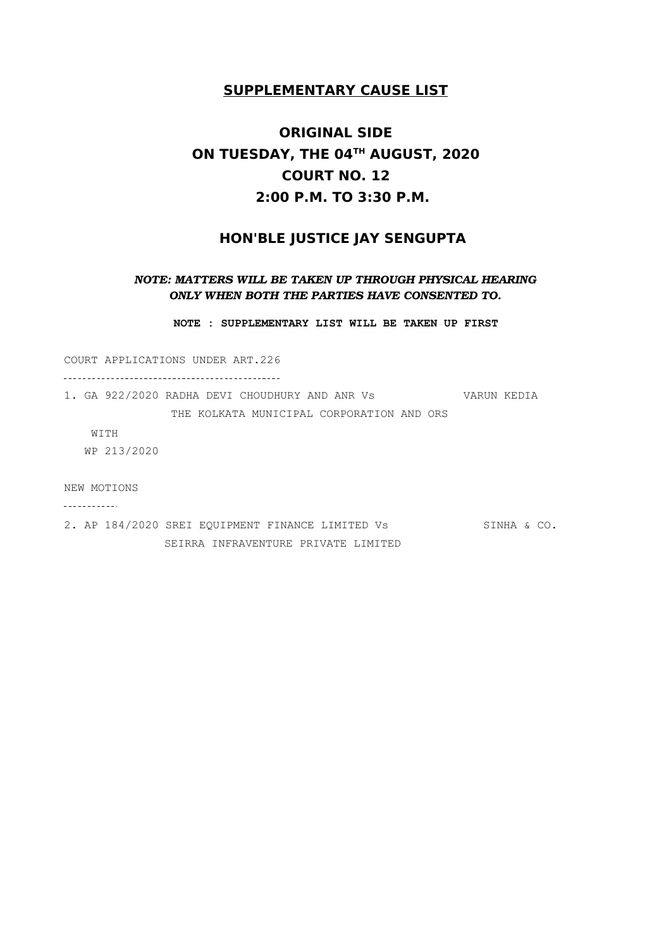# **ORIGINAL SIDE ON TUESDAY, THE 04TH AUGUST, 2020 COURT NO. 12 2:00 P.M. TO 3:30 P.M.**

### **HON'BLE JUSTICE JAY SENGUPTA**

### *NOTE: MATTERS WILL BE TAKEN UP THROUGH PHYSICAL HEARING ONLY WHEN BOTH THE PARTIES HAVE CONSENTED TO.*

**NOTE : SUPPLEMENTARY LIST WILL BE TAKEN UP FIRST**

COURT APPLICATIONS UNDER ART.226

1. GA 922/2020 RADHA DEVI CHOUDHURY AND ANR Vs VARUN KEDIA THE KOLKATA MUNICIPAL CORPORATION AND ORS

WITH WP 213/2020

NEW MOTIONS

\_\_\_\_\_\_\_\_\_\_\_\_

2. AP 184/2020 SREI EQUIPMENT FINANCE LIMITED Vs SINHA & CO. SEIRRA INFRAVENTURE PRIVATE LIMITED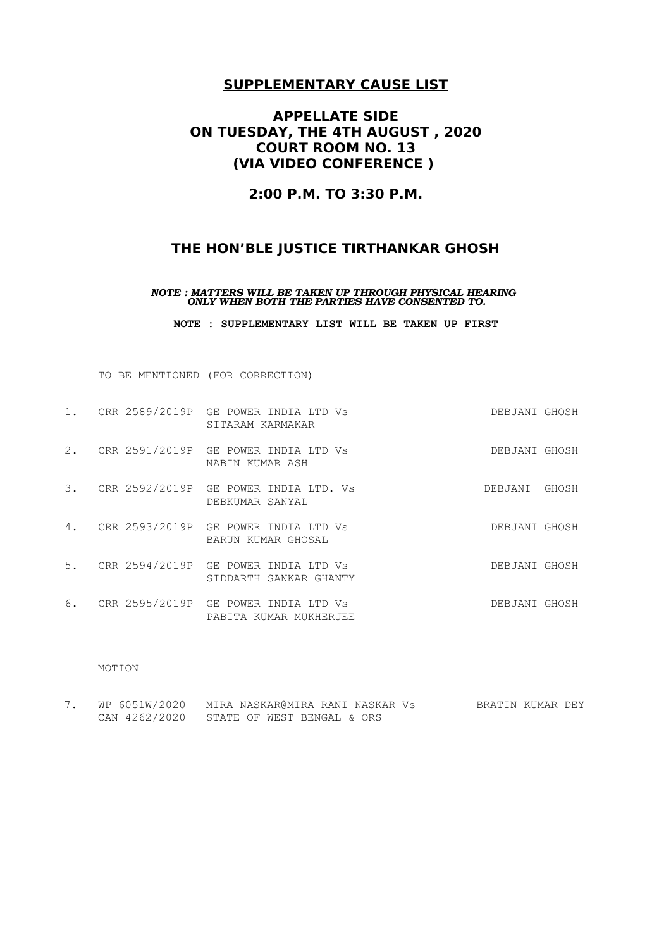# **APPELLATE SIDE ON TUESDAY, THE 4TH AUGUST , 2020 COURT ROOM NO. 13 (VIA VIDEO CONFERENCE )**

### **2:00 P.M. TO 3:30 P.M.**

# **THE HON'BLE JUSTICE TIRTHANKAR GHOSH**

*NOTE : MATTERS WILL BE TAKEN UP THROUGH PHYSICAL HEARING ONLY WHEN BOTH THE PARTIES HAVE CONSENTED TO.*

**NOTE : SUPPLEMENTARY LIST WILL BE TAKEN UP FIRST**

TO BE MENTIONED (FOR CORRECTION) 

| 1. | CRR 2589/2019P GE POWER INDIA LTD Vs<br>SITARAM KARMAKAR          | DEBJANI GHOSH |       |
|----|-------------------------------------------------------------------|---------------|-------|
| 2. | CRR 2591/2019P GE POWER INDIA LTD Vs<br>NABIN KUMAR ASH           | DEBJANI GHOSH |       |
| 3. | CRR 2592/2019P GE POWER INDIA LTD. Vs<br>DEBKUMAR SANYAL          | DEBJANI       | GHOSH |
| 4. | CRR 2593/2019P GE POWER INDIA LTD Vs<br>BARUN KUMAR GHOSAL        | DEBJANI GHOSH |       |
|    | 5. CRR 2594/2019P GE POWER INDIA LTD Vs<br>SIDDARTH SANKAR GHANTY | DEBJANI GHOSH |       |
| 6. | CRR 2595/2019P GE POWER INDIA LTD Vs<br>PABITA KUMAR MUKHERJEE    | DEBJANI GHOSH |       |

MOTION

| WP 6051W/2020 | MIRA NASKAR@MIRA RANI NASKAR Vs          | BRATIN KUMAR DEY |
|---------------|------------------------------------------|------------------|
|               | CAN 4262/2020 STATE OF WEST BENGAL & ORS |                  |